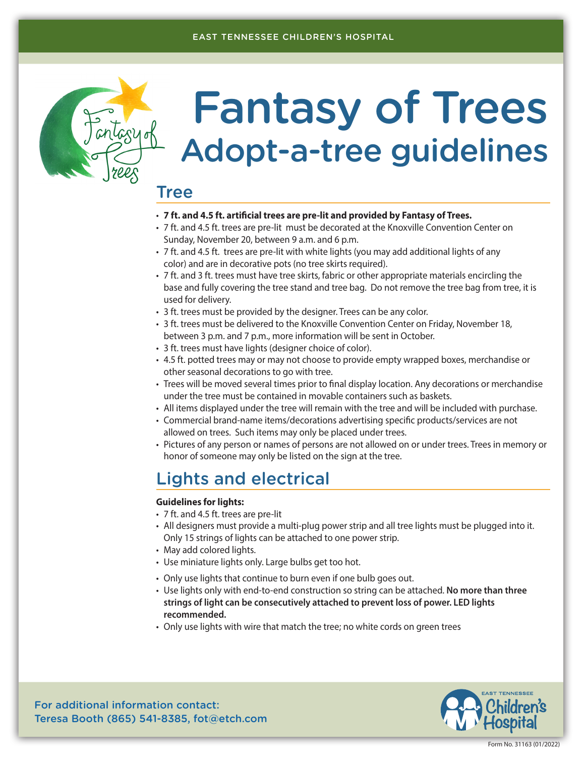#### EAST TENNESSEE CHILDREN'S HOSPITAL



# Fantasy of Trees Adopt-a-tree guidelines

# Tree

- **7 ft. and 4.5 ft. artificial trees are pre-lit and provided by Fantasy of Trees.**
- 7 ft. and 4.5 ft. trees are pre-lit must be decorated at the Knoxville Convention Center on Sunday, November 20, between 9 a.m. and 6 p.m.
- 7 ft. and 4.5 ft. trees are pre-lit with white lights (you may add additional lights of any color) and are in decorative pots (no tree skirts required).
- 7 ft. and 3 ft. trees must have tree skirts, fabric or other appropriate materials encircling the base and fully covering the tree stand and tree bag. Do not remove the tree bag from tree, it is used for delivery.
- 3 ft. trees must be provided by the designer. Trees can be any color.
- 3 ft. trees must be delivered to the Knoxville Convention Center on Friday, November 18, between 3 p.m. and 7 p.m., more information will be sent in October.
- 3 ft. trees must have lights (designer choice of color).
- 4.5 ft. potted trees may or may not choose to provide empty wrapped boxes, merchandise or other seasonal decorations to go with tree.
- Trees will be moved several times prior to final display location. Any decorations or merchandise under the tree must be contained in movable containers such as baskets.
- All items displayed under the tree will remain with the tree and will be included with purchase.
- Commercial brand-name items/decorations advertising specific products/services are not allowed on trees. Such items may only be placed under trees.
- Pictures of any person or names of persons are not allowed on or under trees. Trees in memory or honor of someone may only be listed on the sign at the tree.

## Lights and electrical

#### **Guidelines for lights:**

- 7 ft. and 4.5 ft. trees are pre-lit
- All designers must provide a multi-plug power strip and all tree lights must be plugged into it. Only 15 strings of lights can be attached to one power strip.
- May add colored lights.
- Use miniature lights only. Large bulbs get too hot.
- Only use lights that continue to burn even if one bulb goes out.
- Use lights only with end-to-end construction so string can be attached. **No more than three strings of light can be consecutively attached to prevent loss of power. LED lights recommended.**
- Only use lights with wire that match the tree; no white cords on green trees



For additional information contact: Teresa Booth (865) 541-8385, fot@etch.com